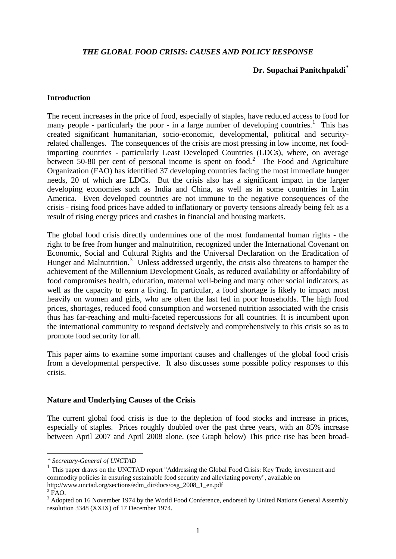#### *THE GLOBAL FOOD CRISIS: CAUSES AND POLICY RESPONSE*

### **Dr. Supachai Panitchpakdi[\\*](#page-0-0)**

#### **Introduction**

The recent increases in the price of food, especially of staples, have reduced access to food for many people - particularly the poor - in a large number of developing countries.<sup>[1](#page-0-1)</sup> This has created significant humanitarian, socio-economic, developmental, political and securityrelated challenges. The consequences of the crisis are most pressing in low income, net foodimporting countries - particularly Least Developed Countries (LDCs), where, on average between 50-80 per cent of personal income is spent on food.<sup>[2](#page-0-2)</sup> The Food and Agriculture Organization (FAO) has identified 37 developing countries facing the most immediate hunger needs, 20 of which are LDCs. But the crisis also has a significant impact in the larger developing economies such as India and China, as well as in some countries in Latin America. Even developed countries are not immune to the negative consequences of the crisis - rising food prices have added to inflationary or poverty tensions already being felt as a result of rising energy prices and crashes in financial and housing markets.

The global food crisis directly undermines one of the most fundamental human rights - the right to be free from hunger and malnutrition, recognized under the International Covenant on Economic, Social and Cultural Rights and the Universal Declaration on the Eradication of Hunger and Malnutrition.<sup>[3](#page-0-3)</sup> Unless addressed urgently, the crisis also threatens to hamper the achievement of the Millennium Development Goals, as reduced availability or affordability of food compromises health, education, maternal well-being and many other social indicators, as well as the capacity to earn a living. In particular, a food shortage is likely to impact most heavily on women and girls, who are often the last fed in poor households. The high food prices, shortages, reduced food consumption and worsened nutrition associated with the crisis thus has far-reaching and multi-faceted repercussions for all countries. It is incumbent upon the international community to respond decisively and comprehensively to this crisis so as to promote food security for all.

This paper aims to examine some important causes and challenges of the global food crisis from a developmental perspective. It also discusses some possible policy responses to this crisis.

#### **Nature and Underlying Causes of the Crisis**

The current global food crisis is due to the depletion of food stocks and increase in prices, especially of staples. Prices roughly doubled over the past three years, with an 85% increase between April 2007 and April 2008 alone. (see Graph below) This price rise has been broad-

1

*<sup>\*</sup> Secretary-General of UNCTAD* 

<span id="page-0-1"></span><span id="page-0-0"></span><sup>&</sup>lt;sup>1</sup> This paper draws on the UNCTAD report "Addressing the Global Food Crisis: Key Trade, investment and commodity policies in ensuring sustainable food security and alleviating poverty", available on http://www.unctad.org/sections/edm\_dir/docs/osg\_2008\_1\_en.pdf

<span id="page-0-2"></span> $2$  FAO.

<span id="page-0-3"></span><sup>&</sup>lt;sup>3</sup> Adopted on 16 November 1974 by the World Food Conference, endorsed by United Nations General Assembly resolution 3348 (XXIX) of 17 December 1974.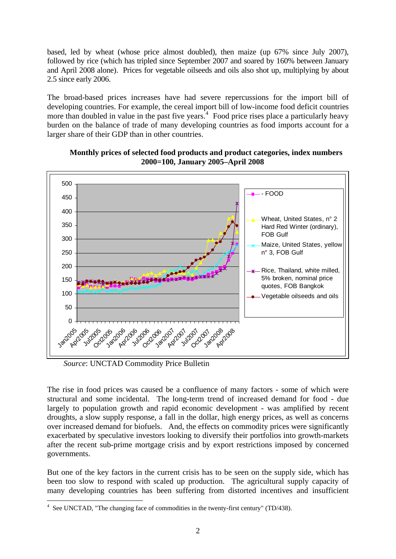based, led by wheat (whose price almost doubled), then maize (up 67% since July 2007), followed by rice (which has tripled since September 2007 and soared by 160% between January and April 2008 alone). Prices for vegetable oilseeds and oils also shot up, multiplying by about 2.5 since early 2006.

The broad-based prices increases have had severe repercussions for the import bill of developing countries. For example, the cereal import bill of low-income food deficit countries more than doubled in value in the past five years.<sup>[4](#page-1-0)</sup> Food price rises place a particularly heavy burden on the balance of trade of many developing countries as food imports account for a larger share of their GDP than in other countries.



**Monthly prices of selected food products and product categories, index numbers 2000=100, January 2005–April 2008** 

*Source*: UNCTAD Commodity Price Bulletin

The rise in food prices was caused be a confluence of many factors - some of which were structural and some incidental. The long-term trend of increased demand for food - due largely to population growth and rapid economic development - was amplified by recent droughts, a slow supply response, a fall in the dollar, high energy prices, as well as concerns over increased demand for biofuels. And, the effects on commodity prices were significantly exacerbated by speculative investors looking to diversify their portfolios into growth-markets after the recent sub-prime mortgage crisis and by export restrictions imposed by concerned governments.

But one of the key factors in the current crisis has to be seen on the supply side, which has been too slow to respond with scaled up production. The agricultural supply capacity of many developing countries has been suffering from distorted incentives and insufficient

<span id="page-1-0"></span><sup>1</sup> <sup>4</sup> See UNCTAD, "The changing face of commodities in the twenty-first century" (TD/438).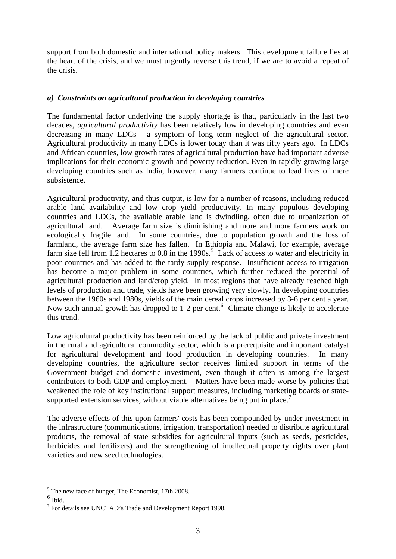support from both domestic and international policy makers. This development failure lies at the heart of the crisis, and we must urgently reverse this trend, if we are to avoid a repeat of the crisis.

# *a) Constraints on agricultural production in developing countries*

The fundamental factor underlying the supply shortage is that, particularly in the last two decades*, agricultural productivity* has been relatively low in developing countries and even decreasing in many LDCs - a symptom of long term neglect of the agricultural sector. Agricultural productivity in many LDCs is lower today than it was fifty years ago. In LDCs and African countries, low growth rates of agricultural production have had important adverse implications for their economic growth and poverty reduction. Even in rapidly growing large developing countries such as India, however, many farmers continue to lead lives of mere subsistence.

Agricultural productivity, and thus output, is low for a number of reasons, including reduced arable land availability and low crop yield productivity. In many populous developing countries and LDCs, the available arable land is dwindling, often due to urbanization of agricultural land. Average farm size is diminishing and more and more farmers work on ecologically fragile land. In some countries, due to population growth and the loss of farmland, the average farm size has fallen. In Ethiopia and Malawi, for example, average farm size fell from 1.2 hectares to  $0.8$  in the 1990s.<sup>[5](#page-2-0)</sup> Lack of access to water and electricity in poor countries and has added to the tardy supply response. Insufficient access to irrigation has become a major problem in some countries, which further reduced the potential of agricultural production and land/crop yield. In most regions that have already reached high levels of production and trade, yields have been growing very slowly. In developing countries between the 1960s and 1980s, yields of the main cereal crops increased by 3-6 per cent a year. Now such annual growth has dropped to 1-2 per cent.<sup>[6](#page-2-1)</sup> Climate change is likely to accelerate this trend.

Low agricultural productivity has been reinforced by the lack of public and private investment in the rural and agricultural commodity sector, which is a prerequisite and important catalyst for agricultural development and food production in developing countries. In many developing countries, the agriculture sector receives limited support in terms of the Government budget and domestic investment, even though it often is among the largest contributors to both GDP and employment. Matters have been made worse by policies that weakened the role of key institutional support measures, including marketing boards or state-supported extension services, without viable alternatives being put in place.<sup>[7](#page-2-2)</sup>

The adverse effects of this upon farmers' costs has been compounded by under-investment in the infrastructure (communications, irrigation, transportation) needed to distribute agricultural products, the removal of state subsidies for agricultural inputs (such as seeds, pesticides, herbicides and fertilizers) and the strengthening of intellectual property rights over plant varieties and new seed technologies.

<sup>&</sup>lt;sup>5</sup> The new face of hunger, The Economist, 17th 2008.

<span id="page-2-1"></span><span id="page-2-0"></span> $^6$  Ibid.

<span id="page-2-2"></span> $<sup>7</sup>$  For details see UNCTAD's Trade and Development Report 1998.</sup>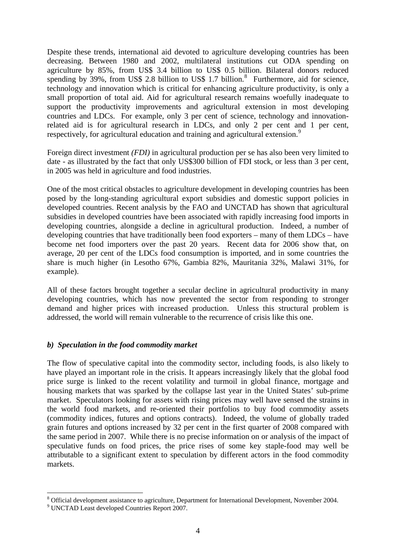Despite these trends, international aid devoted to agriculture developing countries has been decreasing. Between 1980 and 2002, multilateral institutions cut ODA spending on agriculture by 85%, from US\$ 3.4 billion to US\$ 0.5 billion. Bilateral donors reduced spending by  $39\%$ , from US\$ 2.[8](#page-3-0) billion to US\$ 1.7 billion. $8$  Furthermore, aid for science, technology and innovation which is critical for enhancing agriculture productivity, is only a small proportion of total aid. Aid for agricultural research remains woefully inadequate to support the productivity improvements and agricultural extension in most developing countries and LDCs. For example, only 3 per cent of science, technology and innovationrelated aid is for agricultural research in LDCs, and only 2 per cent and 1 per cent, respectively, for agricultural education and training and agricultural extension.<sup>[9](#page-3-1)</sup>

Foreign direct investment *(FDI)* in agricultural production per se has also been very limited to date - as illustrated by the fact that only US\$300 billion of FDI stock, or less than 3 per cent, in 2005 was held in agriculture and food industries.

One of the most critical obstacles to agriculture development in developing countries has been posed by the long-standing agricultural export subsidies and domestic support policies in developed countries. Recent analysis by the FAO and UNCTAD has shown that agricultural subsidies in developed countries have been associated with rapidly increasing food imports in developing countries, alongside a decline in agricultural production. Indeed, a number of developing countries that have traditionally been food exporters – many of them LDCs – have become net food importers over the past 20 years. Recent data for 2006 show that, on average, 20 per cent of the LDCs food consumption is imported, and in some countries the share is much higher (in Lesotho 67%, Gambia 82%, Mauritania 32%, Malawi 31%, for example).

All of these factors brought together a secular decline in agricultural productivity in many developing countries, which has now prevented the sector from responding to stronger demand and higher prices with increased production. Unless this structural problem is addressed, the world will remain vulnerable to the recurrence of crisis like this one.

# *b) Speculation in the food commodity market*

The flow of speculative capital into the commodity sector, including foods, is also likely to have played an important role in the crisis. It appears increasingly likely that the global food price surge is linked to the recent volatility and turmoil in global finance, mortgage and housing markets that was sparked by the collapse last year in the United States' sub-prime market. Speculators looking for assets with rising prices may well have sensed the strains in the world food markets, and re-oriented their portfolios to buy food commodity assets (commodity indices, futures and options contracts). Indeed, the volume of globally traded grain futures and options increased by 32 per cent in the first quarter of 2008 compared with the same period in 2007. While there is no precise information on or analysis of the impact of speculative funds on food prices, the price rises of some key staple-food may well be attributable to a significant extent to speculation by different actors in the food commodity markets.

<u>.</u>

<span id="page-3-0"></span><sup>&</sup>lt;sup>8</sup> Official development assistance to agriculture, Department for International Development, November 2004.

<span id="page-3-1"></span><sup>9</sup> UNCTAD Least developed Countries Report 2007.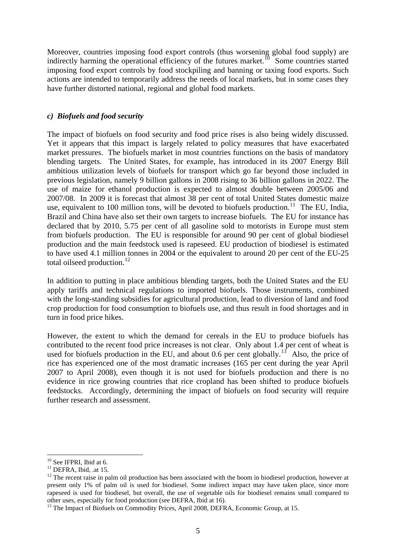Moreover, countries imposing food export controls (thus worsening global food supply) are indirectly harming the operational efficiency of the futures market.<sup>[10](#page-4-0)</sup> Some countries started imposing food export controls by food stockpiling and banning or taxing food exports. Such actions are intended to temporarily address the needs of local markets, but in some cases they have further distorted national, regional and global food markets.

# *c) Biofuels and food security*

The impact of biofuels on food security and food price rises is also being widely discussed. Yet it appears that this impact is largely related to policy measures that have exacerbated market pressures. The biofuels market in most countries functions on the basis of mandatory blending targets. The United States, for example, has introduced in its 2007 Energy Bill ambitious utilization levels of biofuels for transport which go far beyond those included in previous legislation, namely 9 billion gallons in 2008 rising to 36 billion gallons in 2022. The use of maize for ethanol production is expected to almost double between 2005/06 and 2007/08. In 2009 it is forecast that almost 38 per cent of total United States domestic maize use, equivalent to 100 million tons, will be devoted to biofuels production.<sup>[11](#page-4-1)</sup> The EU, India, Brazil and China have also set their own targets to increase biofuels. The EU for instance has declared that by 2010, 5.75 per cent of all gasoline sold to motorists in Europe must stem from biofuels production. The EU is responsible for around 90 per cent of global biodiesel production and the main feedstock used is rapeseed. EU production of biodiesel is estimated to have used 4.1 million tonnes in 2004 or the equivalent to around 20 per cent of the EU-25 total oilseed production.<sup>[12](#page-4-2)</sup>

In addition to putting in place ambitious blending targets, both the United States and the EU apply tariffs and technical regulations to imported biofuels. Those instruments, combined with the long-standing subsidies for agricultural production, lead to diversion of land and food crop production for food consumption to biofuels use, and thus result in food shortages and in turn in food price hikes.

However, the extent to which the demand for cereals in the EU to produce biofuels has contributed to the recent food price increases is not clear. Only about 1.4 per cent of wheat is used for biofuels production in the EU, and about 0.6 per cent globally.<sup>[13](#page-4-3)</sup> Also, the price of rice has experienced one of the most dramatic increases (165 per cent during the year April 2007 to April 2008), even though it is not used for biofuels production and there is no evidence in rice growing countries that rice cropland has been shifted to produce biofuels feedstocks. Accordingly, determining the impact of biofuels on food security will require further research and assessment.

1

<sup>&</sup>lt;sup>10</sup> See IFPRI, Ibid at 6.

<span id="page-4-0"></span> $11$  DEFRA, Ibid, .at 15.

<span id="page-4-2"></span><span id="page-4-1"></span> $12$  The recent raise in palm oil production has been associated with the boom in biodiesel production, however at present only 1% of palm oil is used for biodiesel. Some indirect impact may have taken place, since more rapeseed is used for biodiesel, but overall, the use of vegetable oils for biodiesel remains small compared to other uses, especially for food production (see DEFRA, Ibid at 16).

<span id="page-4-3"></span><sup>&</sup>lt;sup>13</sup> The Impact of Biofuels on Commodity Prices, April 2008, DEFRA, Economic Group, at 15.